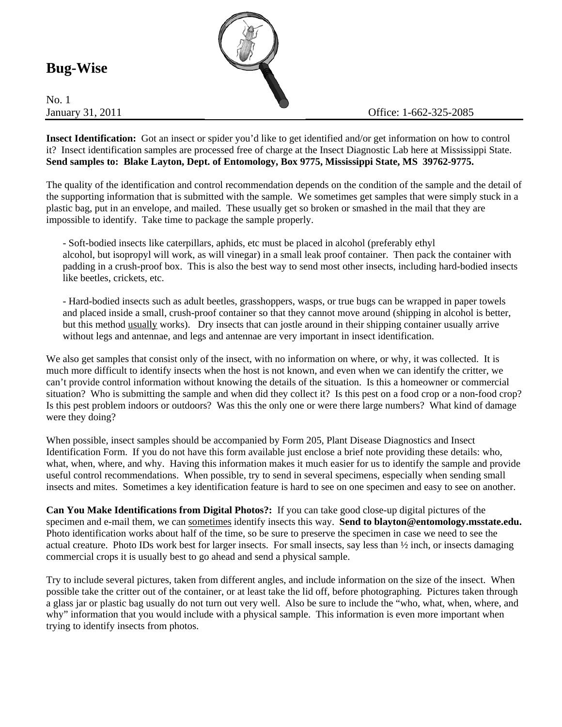## **Bug-Wise**

No. 1



**Insect Identification:** Got an insect or spider you'd like to get identified and/or get information on how to control it? Insect identification samples are processed free of charge at the Insect Diagnostic Lab here at Mississippi State. **Send samples to: Blake Layton, Dept. of Entomology, Box 9775, Mississippi State, MS 39762-9775.** 

The quality of the identification and control recommendation depends on the condition of the sample and the detail of the supporting information that is submitted with the sample. We sometimes get samples that were simply stuck in a plastic bag, put in an envelope, and mailed. These usually get so broken or smashed in the mail that they are impossible to identify. Take time to package the sample properly.

- Soft-bodied insects like caterpillars, aphids, etc must be placed in alcohol (preferably ethyl alcohol, but isopropyl will work, as will vinegar) in a small leak proof container. Then pack the container with padding in a crush-proof box. This is also the best way to send most other insects, including hard-bodied insects like beetles, crickets, etc.

- Hard-bodied insects such as adult beetles, grasshoppers, wasps, or true bugs can be wrapped in paper towels and placed inside a small, crush-proof container so that they cannot move around (shipping in alcohol is better, but this method usually works). Dry insects that can jostle around in their shipping container usually arrive without legs and antennae, and legs and antennae are very important in insect identification.

We also get samples that consist only of the insect, with no information on where, or why, it was collected. It is much more difficult to identify insects when the host is not known, and even when we can identify the critter, we can't provide control information without knowing the details of the situation. Is this a homeowner or commercial situation? Who is submitting the sample and when did they collect it? Is this pest on a food crop or a non-food crop? Is this pest problem indoors or outdoors? Was this the only one or were there large numbers? What kind of damage were they doing?

When possible, insect samples should be accompanied by Form 205, Plant Disease Diagnostics and Insect Identification Form. If you do not have this form available just enclose a brief note providing these details: who, what, when, where, and why. Having this information makes it much easier for us to identify the sample and provide useful control recommendations. When possible, try to send in several specimens, especially when sending small insects and mites. Sometimes a key identification feature is hard to see on one specimen and easy to see on another.

**Can You Make Identifications from Digital Photos?:** If you can take good close-up digital pictures of the specimen and e-mail them, we can sometimes identify insects this way. **Send to blayton@entomology.msstate.edu.** Photo identification works about half of the time, so be sure to preserve the specimen in case we need to see the actual creature. Photo IDs work best for larger insects. For small insects, say less than ½ inch, or insects damaging commercial crops it is usually best to go ahead and send a physical sample.

Try to include several pictures, taken from different angles, and include information on the size of the insect. When possible take the critter out of the container, or at least take the lid off, before photographing. Pictures taken through a glass jar or plastic bag usually do not turn out very well. Also be sure to include the "who, what, when, where, and why" information that you would include with a physical sample. This information is even more important when trying to identify insects from photos.